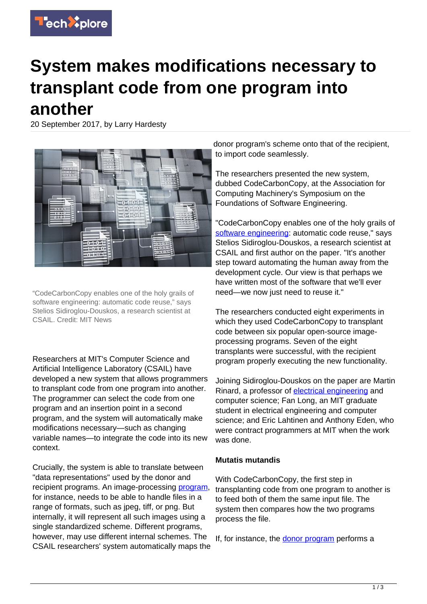

## **System makes modifications necessary to transplant code from one program into another**

20 September 2017, by Larry Hardesty



"CodeCarbonCopy enables one of the holy grails of software engineering: automatic code reuse," says Stelios Sidiroglou-Douskos, a research scientist at CSAIL. Credit: MIT News

Researchers at MIT's Computer Science and Artificial Intelligence Laboratory (CSAIL) have developed a new system that allows programmers to transplant code from one program into another. The programmer can select the code from one program and an insertion point in a second program, and the system will automatically make modifications necessary—such as changing variable names—to integrate the code into its new context.

Crucially, the system is able to translate between "data representations" used by the donor and recipient programs. An image-processing [program,](https://techxplore.com/tags/program/) for instance, needs to be able to handle files in a range of formats, such as jpeg, tiff, or png. But internally, it will represent all such images using a single standardized scheme. Different programs, however, may use different internal schemes. The CSAIL researchers' system automatically maps the

donor program's scheme onto that of the recipient, to import code seamlessly.

The researchers presented the new system, dubbed CodeCarbonCopy, at the Association for Computing Machinery's Symposium on the Foundations of Software Engineering.

"CodeCarbonCopy enables one of the holy grails of [software engineering:](https://techxplore.com/tags/software+engineering/) automatic code reuse," says Stelios Sidiroglou-Douskos, a research scientist at CSAIL and first author on the paper. "It's another step toward automating the human away from the development cycle. Our view is that perhaps we have written most of the software that we'll ever need—we now just need to reuse it."

The researchers conducted eight experiments in which they used CodeCarbonCopy to transplant code between six popular open-source imageprocessing programs. Seven of the eight transplants were successful, with the recipient program properly executing the new functionality.

Joining Sidiroglou-Douskos on the paper are Martin Rinard, a professor of [electrical engineering](https://techxplore.com/tags/electrical+engineering/) and computer science; Fan Long, an MIT graduate student in electrical engineering and computer science; and Eric Lahtinen and Anthony Eden, who were contract programmers at MIT when the work was done.

## **Mutatis mutandis**

With CodeCarbonCopy, the first step in transplanting code from one program to another is to feed both of them the same input file. The system then compares how the two programs process the file.

If, for instance, the [donor program](https://techxplore.com/tags/donor+program/) performs a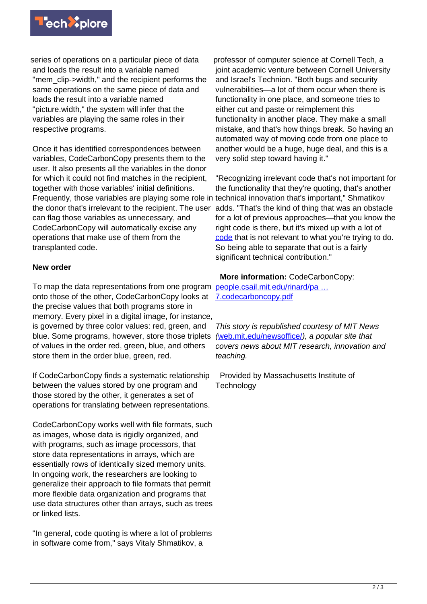

series of operations on a particular piece of data and loads the result into a variable named "mem\_clip->width," and the recipient performs the same operations on the same piece of data and loads the result into a variable named "picture.width," the system will infer that the variables are playing the same roles in their respective programs.

Once it has identified correspondences between variables, CodeCarbonCopy presents them to the user. It also presents all the variables in the donor for which it could not find matches in the recipient, together with those variables' initial definitions. Frequently, those variables are playing some role in technical innovation that's important," Shmatikov the donor that's irrelevant to the recipient. The user adds. "That's the kind of thing that was an obstacle can flag those variables as unnecessary, and CodeCarbonCopy will automatically excise any operations that make use of them from the transplanted code.

## **New order**

To map the data representations from one program people.csail.mit.edu/rinard/pa ... onto those of the other, CodeCarbonCopy looks at [7.codecarboncopy.pdf](http://people.csail.mit.edu/rinard/paper/fse17.codecarboncopy.pdf) the precise values that both programs store in memory. Every pixel in a digital image, for instance, is governed by three color values: red, green, and blue. Some programs, however, store those triplets of values in the order red, green, blue, and others store them in the order blue, green, red.

If CodeCarbonCopy finds a systematic relationship between the values stored by one program and those stored by the other, it generates a set of operations for translating between representations.

CodeCarbonCopy works well with file formats, such as images, whose data is rigidly organized, and with programs, such as image processors, that store data representations in arrays, which are essentially rows of identically sized memory units. In ongoing work, the researchers are looking to generalize their approach to file formats that permit more flexible data organization and programs that use data structures other than arrays, such as trees or linked lists.

"In general, code quoting is where a lot of problems in software come from," says Vitaly Shmatikov, a

professor of computer science at Cornell Tech, a joint academic venture between Cornell University and Israel's Technion. "Both bugs and security vulnerabilities—a lot of them occur when there is functionality in one place, and someone tries to either cut and paste or reimplement this functionality in another place. They make a small mistake, and that's how things break. So having an automated way of moving code from one place to another would be a huge, huge deal, and this is a very solid step toward having it."

"Recognizing irrelevant code that's not important for the functionality that they're quoting, that's another for a lot of previous approaches—that you know the right code is there, but it's mixed up with a lot of [code](https://techxplore.com/tags/code/) that is not relevant to what you're trying to do. So being able to separate that out is a fairly significant technical contribution."

**More information:** CodeCarbonCopy:

This story is republished courtesy of MIT News ([web.mit.edu/newsoffice/](http://web.mit.edu/newsoffice/)), a popular site that covers news about MIT research, innovation and teaching.

 Provided by Massachusetts Institute of **Technology**